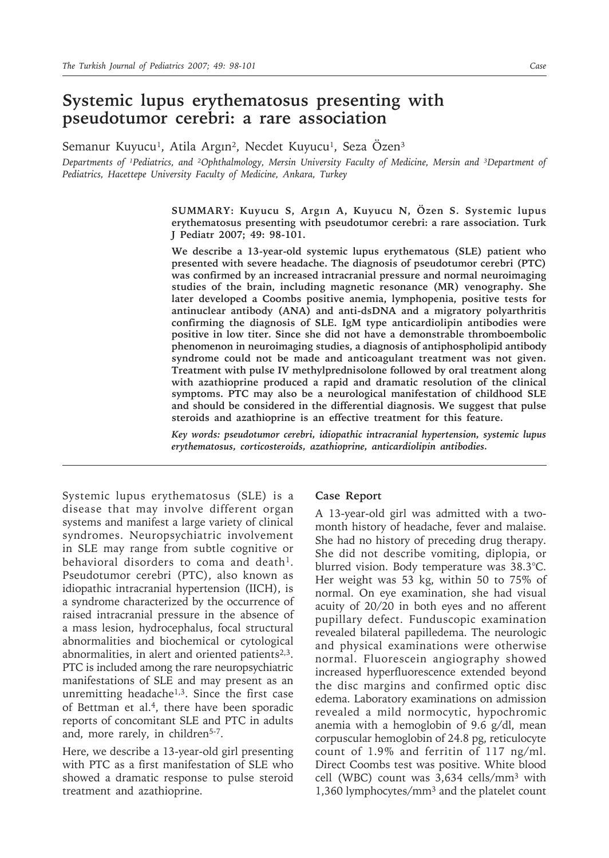## **Systemic lupus erythematosus presenting with pseudotumor cerebri: a rare association**

Semanur Kuyucu<sup>1</sup>, Atila Argın<sup>2</sup>, Necdet Kuyucu<sup>1</sup>, Seza Özen<sup>3</sup>

*Departments of ¹Pediatrics, and ²Ophthalmology, Mersin University Faculty of Medicine, Mersin and ³Department of Pediatrics, Hacettepe University Faculty of Medicine, Ankara, Turkey*

> **SUMMARY: Kuyucu S, Argın A, Kuyucu N, Özen S. Systemic lupus erythematosus presenting with pseudotumor cerebri: a rare association. Turk J Pediatr 2007; 49: 98-101.**

> **We describe a 13-year-old systemic lupus erythematous (SLE) patient who presented with severe headache. The diagnosis of pseudotumor cerebri (PTC) was confirmed by an increased intracranial pressure and normal neuroimaging studies of the brain, including magnetic resonance (MR) venography. She later developed a Coombs positive anemia, lymphopenia, positive tests for antinuclear antibody (ANA) and anti-dsDNA and a migratory polyarthritis confirming the diagnosis of SLE. IgM type anticardiolipin antibodies were positive in low titer. Since she did not have a demonstrable thromboembolic phenomenon in neuroimaging studies, a diagnosis of antiphospholipid antibody syndrome could not be made and anticoagulant treatment was not given. Treatment with pulse IV methylprednisolone followed by oral treatment along with azathioprine produced a rapid and dramatic resolution of the clinical symptoms. PTC may also be a neurological manifestation of childhood SLE and should be considered in the differential diagnosis. We suggest that pulse steroids and azathioprine is an effective treatment for this feature.**

> *Key words: pseudotumor cerebri, idiopathic intracranial hypertension, systemic lupus erythematosus, corticosteroids, azathioprine, anticardiolipin antibodies.*

Systemic lupus erythematosus (SLE) is a disease that may involve different organ systems and manifest a large variety of clinical syndromes. Neuropsychiatric involvement in SLE may range from subtle cognitive or behavioral disorders to coma and death<sup>1</sup>. Pseudotumor cerebri (PTC), also known as idiopathic intracranial hypertension (IICH), is a syndrome characterized by the occurrence of raised intracranial pressure in the absence of a mass lesion, hydrocephalus, focal structural abnormalities and biochemical or cytological abnormalities, in alert and oriented patients $2,3$ . PTC is included among the rare neuropsychiatric manifestations of SLE and may present as an unremitting headache $1,3$ . Since the first case of Bettman et al.4, there have been sporadic reports of concomitant SLE and PTC in adults and, more rarely, in children<sup>5-7</sup>.

Here, we describe a 13-year-old girl presenting with PTC as a first manifestation of SLE who showed a dramatic response to pulse steroid treatment and azathioprine.

## **Case Report**

A 13-year-old girl was admitted with a twomonth history of headache, fever and malaise. She had no history of preceding drug therapy. She did not describe vomiting, diplopia, or blurred vision. Body temperature was 38.3°C. Her weight was 53 kg, within 50 to 75% of normal. On eye examination, she had visual acuity of 20/20 in both eyes and no afferent pupillary defect. Funduscopic examination revealed bilateral papilledema. The neurologic and physical examinations were otherwise normal. Fluorescein angiography showed increased hyperfluorescence extended beyond the disc margins and confirmed optic disc edema. Laboratory examinations on admission revealed a mild normocytic, hypochromic anemia with a hemoglobin of 9.6 g/dl, mean corpuscular hemoglobin of 24.8 pg, reticulocyte count of 1.9% and ferritin of 117 ng/ml. Direct Coombs test was positive. White blood cell (WBC) count was 3,634 cells/mm3 with 1,360 lymphocytes/mm3 and the platelet count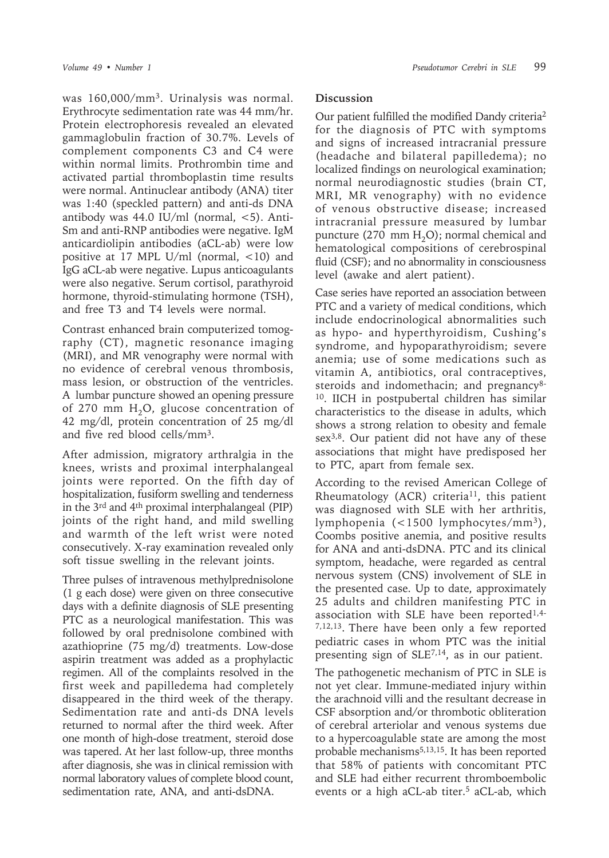was 160,000/mm3. Urinalysis was normal. Erythrocyte sedimentation rate was 44 mm/hr. Protein electrophoresis revealed an elevated gammaglobulin fraction of 30.7%. Levels of complement components C3 and C4 were within normal limits. Prothrombin time and activated partial thromboplastin time results were normal. Antinuclear antibody (ANA) titer was 1:40 (speckled pattern) and anti-ds DNA antibody was  $44.0$  IU/ml (normal,  $<$ 5). Anti-Sm and anti-RNP antibodies were negative. IgM anticardiolipin antibodies (aCL-ab) were low positive at 17 MPL U/ml (normal, <10) and IgG aCL-ab were negative. Lupus anticoagulants were also negative. Serum cortisol, parathyroid hormone, thyroid-stimulating hormone (TSH), and free T3 and T4 levels were normal.

Contrast enhanced brain computerized tomography (CT), magnetic resonance imaging (MRI), and MR venography were normal with no evidence of cerebral venous thrombosis, mass lesion, or obstruction of the ventricles. A lumbar puncture showed an opening pressure of 270 mm  $H_2O$ , glucose concentration of 42 mg/dl, protein concentration of 25 mg/dl and five red blood cells/mm3.

After admission, migratory arthralgia in the knees, wrists and proximal interphalangeal joints were reported. On the fifth day of hospitalization, fusiform swelling and tenderness in the 3rd and 4th proximal interphalangeal (PIP) joints of the right hand, and mild swelling and warmth of the left wrist were noted consecutively. X-ray examination revealed only soft tissue swelling in the relevant joints.

Three pulses of intravenous methylprednisolone (1 g each dose) were given on three consecutive days with a definite diagnosis of SLE presenting PTC as a neurological manifestation. This was followed by oral prednisolone combined with azathioprine (75 mg/d) treatments. Low-dose aspirin treatment was added as a prophylactic regimen. All of the complaints resolved in the first week and papilledema had completely disappeared in the third week of the therapy. Sedimentation rate and anti-ds DNA levels returned to normal after the third week. After one month of high-dose treatment, steroid dose was tapered. At her last follow-up, three months after diagnosis, she was in clinical remission with normal laboratory values of complete blood count, sedimentation rate, ANA, and anti-dsDNA.

## **Discussion**

Our patient fulfilled the modified Dandy criteria2 for the diagnosis of PTC with symptoms and signs of increased intracranial pressure (headache and bilateral papilledema); no localized findings on neurological examination; normal neurodiagnostic studies (brain CT, MRI, MR venography) with no evidence of venous obstructive disease; increased intracranial pressure measured by lumbar puncture (270 mm  $H_2O$ ); normal chemical and hematological compositions of cerebrospinal fluid (CSF); and no abnormality in consciousness level (awake and alert patient).

Case series have reported an association between PTC and a variety of medical conditions, which include endocrinological abnormalities such as hypo- and hyperthyroidism, Cushing's syndrome, and hypoparathyroidism; severe anemia; use of some medications such as vitamin A, antibiotics, oral contraceptives, steroids and indomethacin; and pregnancy<sup>8-</sup> 10. IICH in postpubertal children has similar characteristics to the disease in adults, which shows a strong relation to obesity and female sex<sup>3,8</sup>. Our patient did not have any of these associations that might have predisposed her to PTC, apart from female sex.

According to the revised American College of Rheumatology (ACR) criteria<sup>11</sup>, this patient was diagnosed with SLE with her arthritis, lymphopenia (<1500 lymphocytes/mm3), Coombs positive anemia, and positive results for ANA and anti-dsDNA. PTC and its clinical symptom, headache, were regarded as central nervous system (CNS) involvement of SLE in the presented case. Up to date, approximately 25 adults and children manifesting PTC in association with SLE have been reported<sup>1,4-</sup> 7,12,13. There have been only a few reported pediatric cases in whom PTC was the initial presenting sign of  $SLE^{7,14}$ , as in our patient.

The pathogenetic mechanism of PTC in SLE is not yet clear. Immune-mediated injury within the arachnoid villi and the resultant decrease in CSF absorption and/or thrombotic obliteration of cerebral arteriolar and venous systems due to a hypercoagulable state are among the most probable mechanisms<sup>5,13,15</sup>. It has been reported that 58% of patients with concomitant PTC and SLE had either recurrent thromboembolic events or a high aCL-ab titer.<sup>5</sup> aCL-ab, which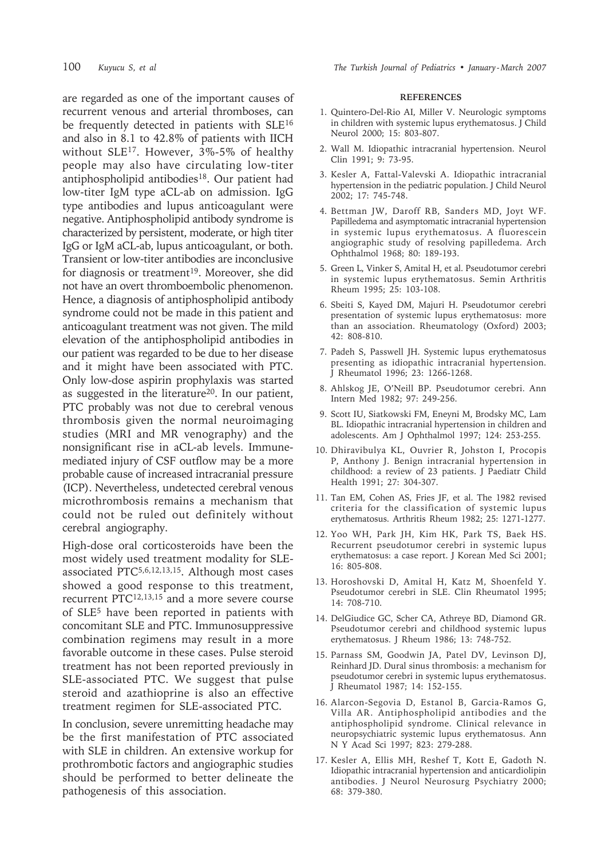are regarded as one of the important causes of recurrent venous and arterial thromboses, can be frequently detected in patients with SLE<sup>16</sup> and also in 8.1 to 42.8% of patients with IICH without SLE17. However, 3%-5% of healthy people may also have circulating low-titer antiphospholipid antibodies<sup>18</sup>. Our patient had low-titer IgM type aCL-ab on admission. IgG type antibodies and lupus anticoagulant were negative. Antiphospholipid antibody syndrome is characterized by persistent, moderate, or high titer IgG or IgM aCL-ab, lupus anticoagulant, or both. Transient or low-titer antibodies are inconclusive for diagnosis or treatment<sup>19</sup>. Moreover, she did not have an overt thromboembolic phenomenon. Hence, a diagnosis of antiphospholipid antibody syndrome could not be made in this patient and anticoagulant treatment was not given. The mild elevation of the antiphospholipid antibodies in our patient was regarded to be due to her disease and it might have been associated with PTC. Only low-dose aspirin prophylaxis was started as suggested in the literature<sup>20</sup>. In our patient, PTC probably was not due to cerebral venous thrombosis given the normal neuroimaging studies (MRI and MR venography) and the nonsignificant rise in aCL-ab levels. Immunemediated injury of CSF outflow may be a more probable cause of increased intracranial pressure (ICP). Nevertheless, undetected cerebral venous microthrombosis remains a mechanism that could not be ruled out definitely without cerebral angiography.

High-dose oral corticosteroids have been the most widely used treatment modality for SLEassociated PTC5,6,12,13,15. Although most cases showed a good response to this treatment, recurrent PTC12,13,15 and a more severe course of SLE5 have been reported in patients with concomitant SLE and PTC. Immunosuppressive combination regimens may result in a more favorable outcome in these cases. Pulse steroid treatment has not been reported previously in SLE-associated PTC. We suggest that pulse steroid and azathioprine is also an effective treatment regimen for SLE-associated PTC.

In conclusion, severe unremitting headache may be the first manifestation of PTC associated with SLE in children. An extensive workup for prothrombotic factors and angiographic studies should be performed to better delineate the pathogenesis of this association.

## **REFERENCES**

- 1. Quintero-Del-Rio AI, Miller V. Neurologic symptoms in children with systemic lupus erythematosus. J Child Neurol 2000; 15: 803-807.
- 2. Wall M. Idiopathic intracranial hypertension. Neurol Clin 1991; 9: 73-95.
- 3. Kesler A, Fattal-Valevski A. Idiopathic intracranial hypertension in the pediatric population. J Child Neurol 2002; 17: 745-748.
- 4. Bettman JW, Daroff RB, Sanders MD, Joyt WF. Papilledema and asymptomatic intracranial hypertension in systemic lupus erythematosus. A fluorescein angiographic study of resolving papilledema. Arch Ophthalmol 1968; 80: 189-193.
- 5. Green L, Vinker S, Amital H, et al. Pseudotumor cerebri in systemic lupus erythematosus. Semin Arthritis Rheum 1995; 25: 103-108.
- 6. Sbeiti S, Kayed DM, Majuri H. Pseudotumor cerebri presentation of systemic lupus erythematosus: more than an association. Rheumatology (Oxford) 2003; 42: 808-810.
- 7. Padeh S, Passwell JH. Systemic lupus erythematosus presenting as idiopathic intracranial hypertension. J Rheumatol 1996; 23: 1266-1268.
- 8. Ahlskog JE, O'Neill BP. Pseudotumor cerebri. Ann Intern Med 1982; 97: 249-256.
- 9. Scott IU, Siatkowski FM, Eneyni M, Brodsky MC, Lam BL. Idiopathic intracranial hypertension in children and adolescents. Am J Ophthalmol 1997; 124: 253-255.
- 10. Dhiravibulya KL, Ouvrier R, Johston I, Procopis P, Anthony J. Benign intracranial hypertension in childhood: a review of 23 patients. J Paediatr Child Health 1991; 27: 304-307.
- 11. Tan EM, Cohen AS, Fries JF, et al. The 1982 revised criteria for the classification of systemic lupus erythematosus. Arthritis Rheum 1982; 25: 1271-1277.
- 12. Yoo WH, Park JH, Kim HK, Park TS, Baek HS. Recurrent pseudotumor cerebri in systemic lupus erythematosus: a case report. J Korean Med Sci 2001; 16: 805-808.
- 13. Horoshovski D, Amital H, Katz M, Shoenfeld Y. Pseudotumor cerebri in SLE. Clin Rheumatol 1995; 14: 708-710.
- 14. DelGiudice GC, Scher CA, Athreye BD, Diamond GR. Pseudotumor cerebri and childhood systemic lupus erythematosus. J Rheum 1986; 13: 748-752.
- 15. Parnass SM, Goodwin JA, Patel DV, Levinson DJ, Reinhard JD. Dural sinus thrombosis: a mechanism for pseudotumor cerebri in systemic lupus erythematosus. J Rheumatol 1987; 14: 152-155.
- 16. Alarcon-Segovia D, Estanol B, Garcia-Ramos G, Villa AR. Antiphospholipid antibodies and the antiphospholipid syndrome. Clinical relevance in neuropsychiatric systemic lupus erythematosus. Ann N Y Acad Sci 1997; 823: 279-288.
- 17. Kesler A, Ellis MH, Reshef T, Kott E, Gadoth N. Idiopathic intracranial hypertension and anticardiolipin antibodies. J Neurol Neurosurg Psychiatry 2000; 68: 379-380.